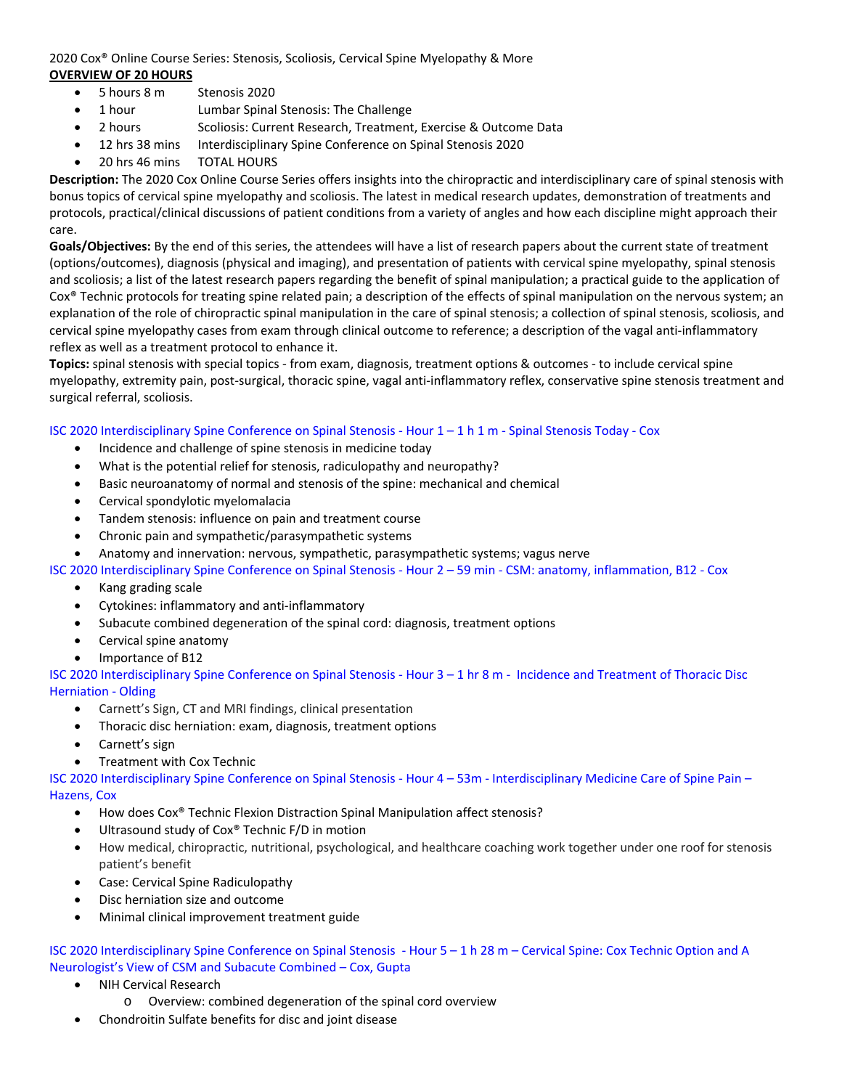# 2020 Cox® Online Course Series: Stenosis, Scoliosis, Cervical Spine Myelopathy & More **OVERVIEW OF 20 HOURS**

- 5 hours 8 m Stenosis 2020
- 1 hour Lumbar Spinal Stenosis: The Challenge
- 2 hours Scoliosis: Current Research, Treatment, Exercise & Outcome Data
- 12 hrs 38 mins Interdisciplinary Spine Conference on Spinal Stenosis 2020
- 20 hrs 46 mins TOTAL HOURS

**Description:** The 2020 Cox Online Course Series offers insights into the chiropractic and interdisciplinary care of spinal stenosis with bonus topics of cervical spine myelopathy and scoliosis. The latest in medical research updates, demonstration of treatments and protocols, practical/clinical discussions of patient conditions from a variety of angles and how each discipline might approach their care.

**Goals/Objectives:** By the end of this series, the attendees will have a list of research papers about the current state of treatment (options/outcomes), diagnosis (physical and imaging), and presentation of patients with cervical spine myelopathy, spinal stenosis and scoliosis; a list of the latest research papers regarding the benefit of spinal manipulation; a practical guide to the application of Cox® Technic protocols for treating spine related pain; a description of the effects of spinal manipulation on the nervous system; an explanation of the role of chiropractic spinal manipulation in the care of spinal stenosis; a collection of spinal stenosis, scoliosis, and cervical spine myelopathy cases from exam through clinical outcome to reference; a description of the vagal anti‐inflammatory reflex as well as a treatment protocol to enhance it.

**Topics:** spinal stenosis with special topics ‐ from exam, diagnosis, treatment options & outcomes ‐ to include cervical spine myelopathy, extremity pain, post‐surgical, thoracic spine, vagal anti‐inflammatory reflex, conservative spine stenosis treatment and surgical referral, scoliosis.

## ISC 2020 Interdisciplinary Spine Conference on Spinal Stenosis ‐ Hour 1 – 1 h 1 m ‐ Spinal Stenosis Today ‐ Cox

- Incidence and challenge of spine stenosis in medicine today
- What is the potential relief for stenosis, radiculopathy and neuropathy?
- Basic neuroanatomy of normal and stenosis of the spine: mechanical and chemical
- Cervical spondylotic myelomalacia
- Tandem stenosis: influence on pain and treatment course
- Chronic pain and sympathetic/parasympathetic systems
- Anatomy and innervation: nervous, sympathetic, parasympathetic systems; vagus nerve

ISC 2020 Interdisciplinary Spine Conference on Spinal Stenosis ‐ Hour 2 – 59 min ‐ CSM: anatomy, inflammation, B12 ‐ Cox

- Kang grading scale
- Cytokines: inflammatory and anti‐inflammatory
- Subacute combined degeneration of the spinal cord: diagnosis, treatment options
- Cervical spine anatomy
- Importance of B12

ISC 2020 Interdisciplinary Spine Conference on Spinal Stenosis ‐ Hour 3 – 1 hr 8 m ‐ Incidence and Treatment of Thoracic Disc Herniation ‐ Olding

- Carnett's Sign, CT and MRI findings, clinical presentation
- Thoracic disc herniation: exam, diagnosis, treatment options
- Carnett's sign
- Treatment with Cox Technic

ISC 2020 Interdisciplinary Spine Conference on Spinal Stenosis ‐ Hour 4 – 53m ‐ Interdisciplinary Medicine Care of Spine Pain – Hazens, Cox

- How does Cox® Technic Flexion Distraction Spinal Manipulation affect stenosis?
- Ultrasound study of Cox® Technic F/D in motion
- How medical, chiropractic, nutritional, psychological, and healthcare coaching work together under one roof for stenosis patient's benefit
- Case: Cervical Spine Radiculopathy
- Disc herniation size and outcome
- Minimal clinical improvement treatment guide

ISC 2020 Interdisciplinary Spine Conference on Spinal Stenosis ‐ Hour 5 – 1 h 28 m – Cervical Spine: Cox Technic Option and A Neurologist's View of CSM and Subacute Combined – Cox, Gupta

- NIH Cervical Research
	- o Overview: combined degeneration of the spinal cord overview
- Chondroitin Sulfate benefits for disc and joint disease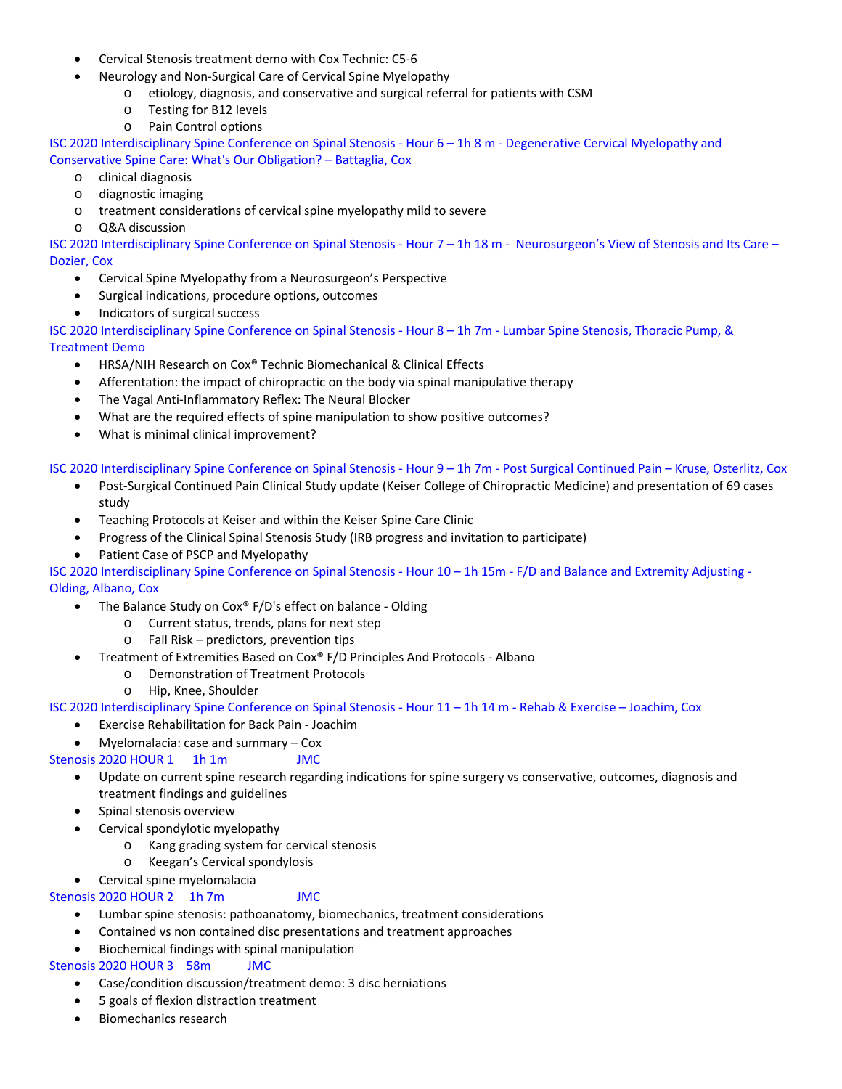- Cervical Stenosis treatment demo with Cox Technic: C5‐6
- Neurology and Non‐Surgical Care of Cervical Spine Myelopathy
	- o etiology, diagnosis, and conservative and surgical referral for patients with CSM
	- o Testing for B12 levels
	- o Pain Control options

ISC 2020 Interdisciplinary Spine Conference on Spinal Stenosis ‐ Hour 6 – 1h 8 m ‐ Degenerative Cervical Myelopathy and Conservative Spine Care: What's Our Obligation? – Battaglia, Cox

- o clinical diagnosis
- o diagnostic imaging
- o treatment considerations of cervical spine myelopathy mild to severe
- o Q&A discussion

ISC 2020 Interdisciplinary Spine Conference on Spinal Stenosis ‐ Hour 7 – 1h 18 m ‐ Neurosurgeon's View of Stenosis and Its Care – Dozier, Cox

- Cervical Spine Myelopathy from a Neurosurgeon's Perspective
- Surgical indications, procedure options, outcomes
- Indicators of surgical success

ISC 2020 Interdisciplinary Spine Conference on Spinal Stenosis ‐ Hour 8 – 1h 7m ‐ Lumbar Spine Stenosis, Thoracic Pump, & Treatment Demo

- HRSA/NIH Research on Cox® Technic Biomechanical & Clinical Effects
- Afferentation: the impact of chiropractic on the body via spinal manipulative therapy
- The Vagal Anti‐Inflammatory Reflex: The Neural Blocker
- What are the required effects of spine manipulation to show positive outcomes?
- What is minimal clinical improvement?

ISC 2020 Interdisciplinary Spine Conference on Spinal Stenosis ‐ Hour 9 – 1h 7m ‐ Post Surgical Continued Pain – Kruse, Osterlitz, Cox

- Post-Surgical Continued Pain Clinical Study update (Keiser College of Chiropractic Medicine) and presentation of 69 cases study
- Teaching Protocols at Keiser and within the Keiser Spine Care Clinic
- Progress of the Clinical Spinal Stenosis Study (IRB progress and invitation to participate)
- Patient Case of PSCP and Myelopathy

ISC 2020 Interdisciplinary Spine Conference on Spinal Stenosis ‐ Hour 10 – 1h 15m ‐ F/D and Balance and Extremity Adjusting ‐ Olding, Albano, Cox

- The Balance Study on Cox® F/D's effect on balance ‐ Olding
	- o Current status, trends, plans for next step
	- o Fall Risk predictors, prevention tips
- Treatment of Extremities Based on Cox® F/D Principles And Protocols ‐ Albano
	- o Demonstration of Treatment Protocols
	- o Hip, Knee, Shoulder

ISC 2020 Interdisciplinary Spine Conference on Spinal Stenosis ‐ Hour 11 – 1h 14 m ‐ Rehab & Exercise – Joachim, Cox

- Exercise Rehabilitation for Back Pain ‐ Joachim
- Myelomalacia: case and summary Cox

# Stenosis 2020 HOUR 1 1h 1m JMC

- Update on current spine research regarding indications for spine surgery vs conservative, outcomes, diagnosis and treatment findings and guidelines
- Spinal stenosis overview
- Cervical spondylotic myelopathy
	- o Kang grading system for cervical stenosis
	- o Keegan's Cervical spondylosis
- Cervical spine myelomalacia

## Stenosis 2020 HOUR 2 1h 7m JMC

- Lumbar spine stenosis: pathoanatomy, biomechanics, treatment considerations
- Contained vs non contained disc presentations and treatment approaches
- Biochemical findings with spinal manipulation

## Stenosis 2020 HOUR 3 58m JMC

- Case/condition discussion/treatment demo: 3 disc herniations
- 5 goals of flexion distraction treatment
- Biomechanics research